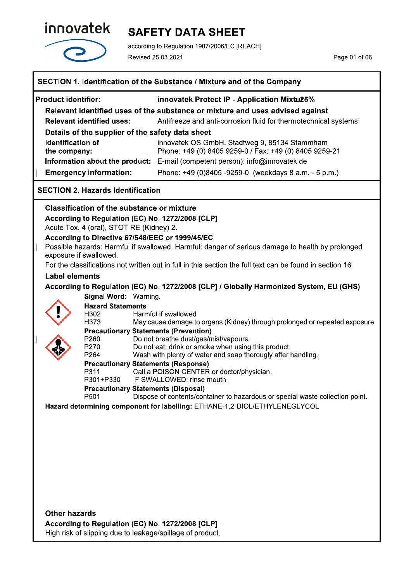

# **SAFETY DATA SHEET**

according to Regulation 1907/2006/EC [REACH] Revised 25.03.2021

Page 01 of 06

| SECTION 1. Identification of the Substance / Mixture and of the Company |                                                           |                                                                                                           |
|-------------------------------------------------------------------------|-----------------------------------------------------------|-----------------------------------------------------------------------------------------------------------|
| <b>Product identifier:</b>                                              |                                                           | innovatek Protect IP - Application Mixtu25%                                                               |
|                                                                         |                                                           | Relevant identified uses of the substance or mixture and uses advised against                             |
|                                                                         | <b>Relevant identified uses:</b>                          | Antifreeze and anti-corrosion fluid for thermotechnical systems.                                          |
|                                                                         | Details of the supplier of the safety data sheet          |                                                                                                           |
| <b>Identification of</b>                                                |                                                           | innovatek OS GmbH, Stadtweg 9, 85134 Stammham                                                             |
| the company:                                                            |                                                           | Phone: +49 (0) 8405 9259-0 / Fax: +49 (0) 8405 9259-21                                                    |
|                                                                         | Information about the product:                            | E-mail (competent person): info@innovatek.de                                                              |
|                                                                         | <b>Emergency information:</b>                             | Phone: +49 (0)8405 -9259-0 (weekdays 8 a.m. - 5 p.m.)                                                     |
|                                                                         | <b>SECTION 2. Hazards Identification</b>                  |                                                                                                           |
|                                                                         | <b>Classification of the substance or mixture</b>         |                                                                                                           |
|                                                                         | According to Regulation (EC) No. 1272/2008 [CLP]          |                                                                                                           |
|                                                                         | Acute Tox. 4 (oral), STOT RE (Kidney) 2.                  |                                                                                                           |
|                                                                         | According to Directive 67/548/EEC or 1999/45/EC           | Possible hazards: Harmful if swallowed. Harmful: danger of serious damage to health by prolonged          |
|                                                                         | exposure if swallowed.                                    |                                                                                                           |
|                                                                         |                                                           | For the classifications not written out in full in this section the full text can be found in section 16. |
| <b>Label elements</b>                                                   |                                                           |                                                                                                           |
|                                                                         |                                                           | According to Regulation (EC) No. 1272/2008 [CLP] / Globally Harmonized System, EU (GHS)                   |
|                                                                         | Signal Word: Warning.                                     |                                                                                                           |
|                                                                         | <b>Hazard Statements</b><br>H302                          | Harmful if swallowed.                                                                                     |
|                                                                         | H373                                                      | May cause damage to organs (Kidney) through prolonged or repeated exposure.                               |
|                                                                         | <b>Precautionary Statements (Prevention)</b><br>P260      |                                                                                                           |
|                                                                         | P270                                                      | Do not breathe dust/gas/mist/vapours.<br>Do not eat, drink or smoke when using this product.              |
|                                                                         | P264                                                      | Wash with plenty of water and soap thorougly after handling.                                              |
|                                                                         | <b>Precautionary Statements (Response)</b><br>P311        | Call a POISON CENTER or doctor/physician.                                                                 |
|                                                                         | P301+P330                                                 | IF SWALLOWED: rinse mouth.                                                                                |
|                                                                         | <b>Precautionary Statements (Disposal)</b>                |                                                                                                           |
|                                                                         | P501                                                      | Dispose of contents/container to hazardous or special waste collection point.                             |
|                                                                         |                                                           | Hazard determining component for labelling: ETHANE-1,2-DIOL/ETHYLENEGLYCOL                                |
|                                                                         |                                                           |                                                                                                           |
|                                                                         |                                                           |                                                                                                           |
|                                                                         |                                                           |                                                                                                           |
|                                                                         |                                                           |                                                                                                           |
|                                                                         |                                                           |                                                                                                           |
|                                                                         |                                                           |                                                                                                           |
|                                                                         |                                                           |                                                                                                           |
|                                                                         |                                                           |                                                                                                           |
| <b>Other hazards</b>                                                    |                                                           |                                                                                                           |
|                                                                         | According to Regulation (EC) No. 1272/2008 [CLP]          |                                                                                                           |
|                                                                         | High risk of slipping due to leakage/spillage of product. |                                                                                                           |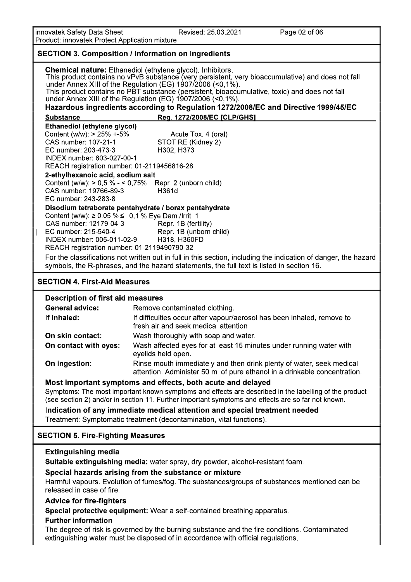innovatek Safety Data Sheet<br>Product: innovatek Protect Application mixture

Revised: 25.03.2021

Page 02 of 06

| Product: impovate rotect Application mixture                                                                                                                                                                                                                                                                                                                                                                                                                                                 |                                                                                                                                                                                                              |  |
|----------------------------------------------------------------------------------------------------------------------------------------------------------------------------------------------------------------------------------------------------------------------------------------------------------------------------------------------------------------------------------------------------------------------------------------------------------------------------------------------|--------------------------------------------------------------------------------------------------------------------------------------------------------------------------------------------------------------|--|
| <b>SECTION 3. Composition / Information on Ingredients</b>                                                                                                                                                                                                                                                                                                                                                                                                                                   |                                                                                                                                                                                                              |  |
| <b>Chemical nature:</b> Ethanediol (ethylene glycol). Inhibitors.<br>This product contains no vPvB substance (very persistent, very bioaccumulative) and does not fall<br>under Annex XIII of the Regulation (EG) 1907/2006 (<0,1%).<br>This product contains no PBT substance (persistent, bioaccumulative, toxic) and does not fall<br>under Annex XIII of the Regulation (EG) $1907/2006$ (<0,1%).<br>Hazardous ingredients according to Regulation 1272/2008/EC and Directive 1999/45/EC |                                                                                                                                                                                                              |  |
| <b>Substance</b>                                                                                                                                                                                                                                                                                                                                                                                                                                                                             | Reg. 1272/2008/EC [CLP/GHS]                                                                                                                                                                                  |  |
| Ethanediol (ethylene glycol)                                                                                                                                                                                                                                                                                                                                                                                                                                                                 |                                                                                                                                                                                                              |  |
| Content (w/w): $> 25\% + 5\%$<br>CAS number: 107-21-1<br>EC number: 203-473-3<br>INDEX number: 603-027-00-1<br>REACH registration number: 01-2119456816-28                                                                                                                                                                                                                                                                                                                                   | Acute Tox. 4 (oral)<br>STOT RE (Kidney 2)<br>H302, H373                                                                                                                                                      |  |
| 2-ethylhexanoic acid, sodium salt<br>CAS number: 19766-89-3<br>EC number: 243-283-8                                                                                                                                                                                                                                                                                                                                                                                                          | Content (w/w): $> 0.5$ % $- < 0.75$ % Repr. 2 (unborn child)<br>H361d                                                                                                                                        |  |
|                                                                                                                                                                                                                                                                                                                                                                                                                                                                                              | Disodium tetraborate pentahydrate / borax pentahydrate                                                                                                                                                       |  |
| Content (w/w): $\geq$ 0.05 % ≤ 0.1 % Eye Dam./Irrit. 1<br>CAS number: 12179-04-3<br>EC number: 215-540-4<br>INDEX number: 005-011-02-9<br>REACH registration number: 01-2119490790-32                                                                                                                                                                                                                                                                                                        | Repr. 1B (fertility)<br>Repr. 1B (unborn child)<br>H318, H360FD                                                                                                                                              |  |
|                                                                                                                                                                                                                                                                                                                                                                                                                                                                                              | For the classifications not written out in full in this section, including the indication of danger, the hazard<br>symbols, the R-phrases, and the hazard statements, the full text is listed in section 16. |  |
| <b>SECTION 4. First-Aid Measures</b>                                                                                                                                                                                                                                                                                                                                                                                                                                                         |                                                                                                                                                                                                              |  |
| <b>Description of first aid measures</b>                                                                                                                                                                                                                                                                                                                                                                                                                                                     |                                                                                                                                                                                                              |  |
| <b>General advice:</b>                                                                                                                                                                                                                                                                                                                                                                                                                                                                       | Remove contaminated clothing.                                                                                                                                                                                |  |
| If inhaled:                                                                                                                                                                                                                                                                                                                                                                                                                                                                                  | If difficulties occur after vapour/aerosol has been inhaled, remove to<br>fresh air and seek medical attention.                                                                                              |  |
| On skin contact:                                                                                                                                                                                                                                                                                                                                                                                                                                                                             | Wash thoroughly with soap and water.                                                                                                                                                                         |  |
| On contact with eyes:                                                                                                                                                                                                                                                                                                                                                                                                                                                                        | Wash affected eyes for at least 15 minutes under running water with<br>eyelids held open.                                                                                                                    |  |
| On ingestion:                                                                                                                                                                                                                                                                                                                                                                                                                                                                                | Rinse mouth immediately and then drink plenty of water, seek medical<br>attention. Administer 50 ml of pure ethanol in a drinkable concentration.                                                            |  |
|                                                                                                                                                                                                                                                                                                                                                                                                                                                                                              | Most important symptoms and effects, both acute and delayed                                                                                                                                                  |  |
|                                                                                                                                                                                                                                                                                                                                                                                                                                                                                              | Symptoms: The most important known symptoms and effects are described in the labelling of the product<br>(see section 2) and/or in section 11. Further important symptoms and effects are so far not known.  |  |
|                                                                                                                                                                                                                                                                                                                                                                                                                                                                                              | Indication of any immediate medical attention and special treatment needed<br>Treatment: Symptomatic treatment (decontamination, vital functions).                                                           |  |
| <b>SECTION 5. Fire-Fighting Measures</b>                                                                                                                                                                                                                                                                                                                                                                                                                                                     |                                                                                                                                                                                                              |  |
| <b>Extinguishing media</b>                                                                                                                                                                                                                                                                                                                                                                                                                                                                   | Suitable extinguishing media: water spray, dry powder, alcohol-resistant foam.                                                                                                                               |  |
| Special hazards arising from the substance or mixture<br>Harmful vapours. Evolution of fumes/fog. The substances/groups of substances mentioned can be<br>released in case of fire.                                                                                                                                                                                                                                                                                                          |                                                                                                                                                                                                              |  |
| <b>Advice for fire-fighters</b>                                                                                                                                                                                                                                                                                                                                                                                                                                                              | Special protective equipment: Wear a self-contained breathing apparatus.                                                                                                                                     |  |
| <b>Further information</b>                                                                                                                                                                                                                                                                                                                                                                                                                                                                   |                                                                                                                                                                                                              |  |
|                                                                                                                                                                                                                                                                                                                                                                                                                                                                                              | The degree of risk is governed by the burning substance and the fire conditions. Contaminated                                                                                                                |  |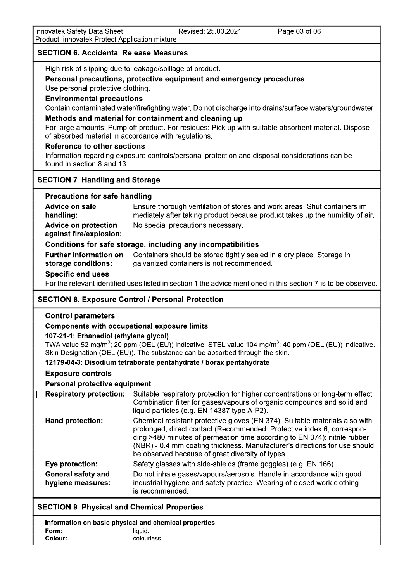#### **SECTION 6. Accidental Release Measures**

High risk of slipping due to leakage/spillage of product.

### Personal precautions, protective equipment and emergency procedures

Use personal protective clothing.

#### **Environmental precautions**

Contain contaminated water/firefighting water. Do not discharge into drains/surface waters/groundwater.

#### Methods and material for containment and cleaning up

For large amounts: Pump off product. For residues: Pick up with suitable absorbent material. Dispose of absorbed material in accordance with regulations.

#### **Reference to other sections**

Information regarding exposure controls/personal protection and disposal considerations can be found in section 8 and 13.

### **SECTION 7. Handling and Storage**

#### **Precautions for safe handling**

Advice on safe Ensure thorough ventilation of stores and work areas. Shut containers imhandling: mediately after taking product because product takes up the humidity of air. **Advice on protection** No special precautions necessary. against fire/explosion: Conditions for safe storage, including any incompatibilities

**Further information on** Containers should be stored tightly sealed in a dry place. Storage in galvanized containers is not recommended. storage conditions:

#### **Specific end uses**

For the relevant identified uses listed in section 1 the advice mentioned in this section 7 is to be observed.

### **SECTION 8. Exposure Control / Personal Protection**

### **Control parameters**

### **Components with occupational exposure limits**

#### 107-21-1: Ethanediol (ethylene glycol)

TWA value 52 mg/m<sup>3</sup>; 20 ppm (OEL (EU)) indicative. STEL value 104 mg/m<sup>3</sup>; 40 ppm (OEL (EU)) indicative. Skin Designation (OEL (EU)). The substance can be absorbed through the skin.

#### 12179-04-3: Disodium tetraborate pentahydrate / borax pentahydrate

### **Exposure controls**

#### **Personal protective equipment**

**Respiratory protection:** Suitable respiratory protection for higher concentrations or long-term effect. Combination filter for gases/vapours of organic compounds and solid and liquid particles (e.g. EN 14387 type A-P2). Chemical resistant protective gloves (EN 374). Suitable materials also with **Hand protection:** prolonged, direct contact (Recommended: Protective index 6, corresponding >480 minutes of permeation time according to EN 374): nitrile rubber (NBR) - 0.4 mm coating thickness. Manufacturer's directions for use should be observed because of great diversity of types. Eye protection: Safety glasses with side-shields (frame goggles) (e.g. EN 166). General safety and Do not inhale gases/vapours/aerosols. Handle in accordance with good industrial hygiene and safety practice. Wearing of closed work clothing hygiene measures: is recommended.

### **SECTION 9. Physical and Chemical Properties**

Information on basic physical and chemical properties Form: liquid. Colour: colourless.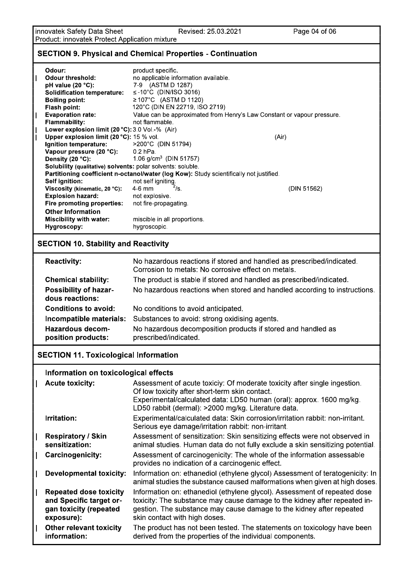Revised: 25.03.2021

### **SECTION 9. Physical and Chemical Properties - Continuation**

| Odour:                                                                          | product specific.                                                                       |                                                                           |
|---------------------------------------------------------------------------------|-----------------------------------------------------------------------------------------|---------------------------------------------------------------------------|
| <b>Odour threshold:</b>                                                         | no applicable information available.                                                    |                                                                           |
| pH value (20 °C):                                                               | 7-9 (ASTM D 1287)                                                                       |                                                                           |
| <b>Solidification temperature:</b>                                              | ≤-10°C (DIN/ISO 3016)                                                                   |                                                                           |
| <b>Boiling point:</b>                                                           | ≥ 107°C (ASTM D 1120)                                                                   |                                                                           |
| Flash point:                                                                    | 120°C (DIN EN 22719, ISO 2719)                                                          |                                                                           |
| <b>Evaporation rate:</b>                                                        |                                                                                         | Value can be approximated from Henry's Law Constant or vapour pressure.   |
| <b>Flammability:</b>                                                            | not flammable.                                                                          |                                                                           |
| Lower explosion limit (20 °C): 3.0 Vol.-% (Air)                                 |                                                                                         |                                                                           |
| Upper explosion limit (20 °C): 15 % vol.                                        |                                                                                         | (Air)                                                                     |
| Ignition temperature:                                                           | >200°C (DIN 51794)                                                                      |                                                                           |
| Vapour pressure (20 °C):                                                        | $0.2$ hPa.                                                                              |                                                                           |
| Density (20 °C):<br>Solubility (qualitative) solvents: polar solvents: soluble. | 1.06 $g/cm3$ (DIN 51757)                                                                |                                                                           |
|                                                                                 | Partitioning coefficient n-octanol/water (log Kow): Study scientifically not justified. |                                                                           |
| Self ignition:                                                                  | not self igniting.                                                                      |                                                                           |
| Viscosity (kinematic, 20 °C):                                                   | $^{2}/s.$<br>$4-6$ mm                                                                   | (DIN 51562)                                                               |
| <b>Explosion hazard:</b>                                                        | not explosive.                                                                          |                                                                           |
| Fire promoting properties:                                                      | not fire-propagating.                                                                   |                                                                           |
| <b>Other Information</b>                                                        |                                                                                         |                                                                           |
| <b>Miscibility with water:</b>                                                  | miscible in all proportions.                                                            |                                                                           |
| Hygroscopy:                                                                     | hygroscopic.                                                                            |                                                                           |
| <b>SECTION 10. Stability and Reactivity</b>                                     |                                                                                         |                                                                           |
| <b>Reactivity:</b>                                                              | Corrosion to metals: No corrosive effect on metals.                                     | No hazardous reactions if stored and handled as prescribed/indicated.     |
| <b>Chemical stability:</b>                                                      |                                                                                         | The product is stable if stored and handled as prescribed/indicated.      |
| Possibility of hazar-                                                           |                                                                                         | No hazardous reactions when stored and handled according to instructions. |
| dous reactions:                                                                 |                                                                                         |                                                                           |
| <b>Conditions to avoid:</b>                                                     | No conditions to avoid anticipated.                                                     |                                                                           |
| Incompatible materials:                                                         | Substances to avoid: strong oxidising agents.                                           |                                                                           |
| <b>Hazardous decom-</b><br>position products:                                   | No hazardous decomposition products if stored and handled as<br>prescribed/indicated.   |                                                                           |

## **SECTION 11. Toxicological Information**

#### Information on toxicological effects

| <b>Acute toxicity:</b>                                                                           | Assessment of acute toxiciy: Of moderate toxicity after single ingestion.<br>Of low toxicity after short-term skin contact.<br>Experimental/calculated data: LD50 human (oral): approx. 1600 mg/kg.<br>LD50 rabbit (dermal): >2000 mg/kg. Literature data.      |
|--------------------------------------------------------------------------------------------------|-----------------------------------------------------------------------------------------------------------------------------------------------------------------------------------------------------------------------------------------------------------------|
| Irritation:                                                                                      | Experimental/calculated data: Skin corrosion/irritation rabbit: non-irritant.<br>Serious eye damage/irritation rabbit: non-irritant.                                                                                                                            |
| <b>Respiratory / Skin</b><br>sensitization:                                                      | Assessment of sensitization: Skin sensitizing effects were not observed in<br>animal studies. Human data do not fully exclude a skin sensitizing potential.                                                                                                     |
| <b>Carcinogenicity:</b>                                                                          | Assessment of carcinogenicity: The whole of the information assessable<br>provides no indication of a carcinogenic effect.                                                                                                                                      |
| <b>Developmental toxicity:</b>                                                                   | Information on: ethanediol (ethylene glycol) Assessment of teratogenicity: In<br>animal studies the substance caused malformations when given at high doses.                                                                                                    |
| <b>Repeated dose toxicity</b><br>and Specific target or-<br>gan toxicity (repeated<br>exposure): | Information on: ethanediol (ethylene glycol). Assessment of repeated dose<br>toxicity: The substance may cause damage to the kidney after repeated in-<br>gestion. The substance may cause damage to the kidney after repeated<br>skin contact with high doses. |
| <b>Other relevant toxicity</b><br>information:                                                   | The product has not been tested. The statements on toxicology have been<br>derived from the properties of the individual components.                                                                                                                            |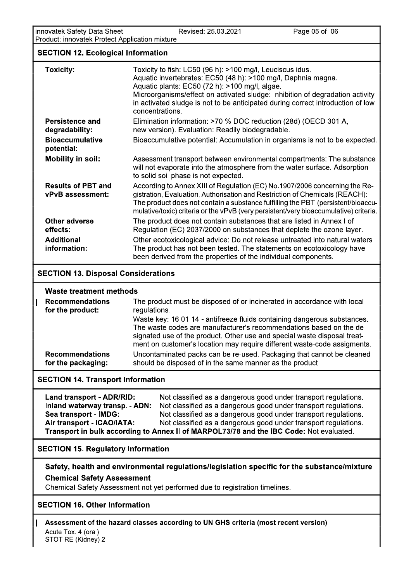| innovatek Safety Data Sheet<br>Product: innovatek Protect Application mixture | Revised: 25.03.2021                                                                                                                                                                                                                                                                                                                                                                                | Page 05 of 06 |
|-------------------------------------------------------------------------------|----------------------------------------------------------------------------------------------------------------------------------------------------------------------------------------------------------------------------------------------------------------------------------------------------------------------------------------------------------------------------------------------------|---------------|
| <b>SECTION 12. Ecological Information</b>                                     |                                                                                                                                                                                                                                                                                                                                                                                                    |               |
| <b>Toxicity:</b>                                                              | Toxicity to fish: LC50 (96 h): >100 mg/l, Leuciscus idus.<br>Aquatic invertebrates: EC50 (48 h): >100 mg/l, Daphnia magna.<br>Aquatic plants: EC50 (72 h): >100 mg/l, algae.<br>Microorganisms/effect on activated sludge: Inhibition of degradation activity<br>in activated sludge is not to be anticipated during correct introduction of low<br>concentrations.                                |               |
| Persistence and<br>degradability:                                             | Elimination information: >70 % DOC reduction (28d) (OECD 301 A,<br>new version). Evaluation: Readily biodegradable.                                                                                                                                                                                                                                                                                |               |
| <b>Bioaccumulative</b><br>potential:                                          | Bioaccumulative potential: Accumulation in organisms is not to be expected.                                                                                                                                                                                                                                                                                                                        |               |
| <b>Mobility in soil:</b>                                                      | Assessment transport between environmental compartments: The substance<br>will not evaporate into the atmosphere from the water surface. Adsorption<br>to solid soil phase is not expected.                                                                                                                                                                                                        |               |
| <b>Results of PBT and</b><br>vPvB assessment:                                 | According to Annex XIII of Regulation (EC) No.1907/2006 concerning the Re-<br>gistration, Evaluation, Authorisation and Restriction of Chemicals (REACH):<br>The product does not contain a substance fulfilling the PBT (persistent/bioaccu-<br>mulative/toxic) criteria or the vPvB (very persistent/very bioaccumulative) criteria.                                                             |               |
| <b>Other adverse</b><br>effects:                                              | The product does not contain substances that are listed in Annex I of<br>Regulation (EC) 2037/2000 on substances that deplete the ozone layer.                                                                                                                                                                                                                                                     |               |
| <b>Additional</b><br>information:                                             | Other ecotoxicological advice: Do not release untreated into natural waters.<br>The product has not been tested. The statements on ecotoxicology have<br>been derived from the properties of the individual components.                                                                                                                                                                            |               |
| <b>SECTION 13. Disposal Considerations</b>                                    |                                                                                                                                                                                                                                                                                                                                                                                                    |               |
| <b>Waste treatment methods</b>                                                |                                                                                                                                                                                                                                                                                                                                                                                                    |               |
| <b>Recommendations</b><br>for the product:                                    | The product must be disposed of or incinerated in accordance with local<br>regulations.<br>Waste key: 16 01 14 - antifreeze fluids containing dangerous substances.<br>The waste codes are manufacturer's recommendations based on the de-<br>signated use of the product. Other use and special waste disposal treat-<br>ment on customer's location may require different waste-code assigments. |               |

| <b>Recommendations</b><br>for the product:                            | The product must be disposed of or incinerated in accordance with local<br>regulations.                                                                                                                                                                                                                 |
|-----------------------------------------------------------------------|---------------------------------------------------------------------------------------------------------------------------------------------------------------------------------------------------------------------------------------------------------------------------------------------------------|
|                                                                       | Waste key: 16 01 14 - antifreeze fluids containing dangerous substances.<br>The waste codes are manufacturer's recommendations based on the de-<br>signated use of the product. Other use and special waste disposal treat-<br>ment on customer's location may require different waste-code assigments. |
|                                                                       |                                                                                                                                                                                                                                                                                                         |
| <b>Recommendations</b><br>for the packaging:                          | Uncontaminated packs can be re-used. Packaging that cannot be cleaned<br>should be disposed of in the same manner as the product.                                                                                                                                                                       |
|                                                                       |                                                                                                                                                                                                                                                                                                         |
| <b>SECTION 14. Transport Information</b><br>Land transport - ADR/RID: | Not classified as a dangerous good under transport regulations.                                                                                                                                                                                                                                         |
| Inland waterway transp. - ADN:                                        | Not classified as a dangerous good under transport regulations.                                                                                                                                                                                                                                         |
| Sea transport - IMDG:                                                 | Not classified as a dangerous good under transport regulations.                                                                                                                                                                                                                                         |
| Air transport - ICAO/IATA:                                            | Not classified as a dangerous good under transport regulations.<br>Transport in bulk according to Annex II of MARPOL73/78 and the IBC Code: Not evaluated.                                                                                                                                              |

Land transport - ADR/RID: Inland waterway transp. - ADN: Not classified as a dangerous good under transport regulations. Recommendations<br>
for the packaging: Uncontaminated<br>
ECTION 14. Transport Information<br>
Land transport - ADR/RID: Not class<br>
Inland waterway transp. - ADN: Not class<br>
Sea transport - IMDG: Not class<br>
Air transport - ICAO/IAT t classified as a dangerous good under transport regulations. Sea transport - IMDG: t classified as a dangerous good under transport regulations. Ai**r transport - ICAO/IATA:** NOT t classified as a dangerous good under transport regulations. I ransport in buik according to Annex II of MARPOL73/78 and the IBC Code: Not evaluated. SECTION 14. Transport Information<br>
Land transport - ADR/RID: Not c<br>
Inland waterway transp. - ADN: Not c<br>
Sea transport - IMDG: Not c<br>
Air transport - ICAO/IATA: Not c<br>
Transport in bulk according to Annex<br>
SECTION 15. Reg

Safety, health and environmental regulations/legislation specific for the substance/mixture **Chemical Safety Assessment** 

Chemical Safety Assessment not yet performed due to registration timelines.

### **SECTION 16. Other Information**

J.

Transport in buik according to A<br>
SECTION 15. Regulatory Informat<br>
Safety, health and environment<br>
Chemical Safety Assessment not y<br>
SECTION 16. Other Information<br>
Assessment of the hazard classes<br>
Acute Tox. 4 (oral)<br>
STO  $\,$   $\,$  Assessment of the hazard classes according to UN GHS criteria (most recent version)  $\text{Acute}$  Tox. 4 (oral) STOT RE (Klaney) 2